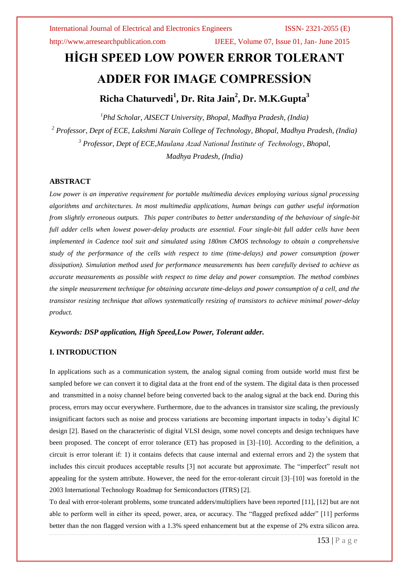http://www.arresearchpublication.com IJEEE, Volume 07, Issue 01, Jan- June 2015

# **HİGH SPEED LOW POWER ERROR TOLERANT ADDER FOR IMAGE COMPRESSİON Richa Chaturvedi<sup>1</sup> , Dr. Rita Jain<sup>2</sup> , Dr. M.K.Gupta<sup>3</sup>**

*Phd Scholar, AISECT University, Bhopal, Madhya Pradesh, (India) Professor, Dept of ECE, Lakshmi Narain College of Technology, Bhopal, Madhya Pradesh, (India) Professor, Dept of ECE,Maulana Azad National İnstitute of Technology, Bhopal, Madhya Pradesh, (India)*

#### **ABSTRACT**

*Low power is an imperative requirement for portable multimedia devices employing various signal processing algorithms and architectures. In most multimedia applications, human beings can gather useful information from slightly erroneous outputs. This paper contributes to better understanding of the behaviour of single-bit full adder cells when lowest power-delay products are essential. Four single-bit full adder cells have been implemented in Cadence tool suit and simulated using 180nm CMOS technology to obtain a comprehensive study of the performance of the cells with respect to time (time-delays) and power consumption (power dissipation). Simulation method used for performance measurements has been carefully devised to achieve as accurate measurements as possible with respect to time delay and power consumption. The method combines the simple measurement technique for obtaining accurate time-delays and power consumption of a cell, and the transistor resizing technique that allows systematically resizing of transistors to achieve minimal power-delay product.*

#### *Keywords: DSP application, High Speed,Low Power, Tolerant adder.*

### **I. INTRODUCTION**

In applications such as a communication system, the analog signal coming from outside world must first be sampled before we can convert it to digital data at the front end of the system. The digital data is then processed and transmitted in a noisy channel before being converted back to the analog signal at the back end. During this process, errors may occur everywhere. Furthermore, due to the advances in transistor size scaling, the previously insignificant factors such as noise and process variations are becoming important impacts in today's digital IC design [2]. Based on the characteristic of digital VLSI design, some novel concepts and design techniques have been proposed. The concept of error tolerance (ET) has proposed in [3]–[10]. According to the definition, a circuit is error tolerant if: 1) it contains defects that cause internal and external errors and 2) the system that includes this circuit produces acceptable results [3] not accurate but approximate. The "imperfect" result not appealing for the system attribute. However, the need for the error-tolerant circuit [3]–[10] was foretold in the 2003 International Technology Roadmap for Semiconductors (ITRS) [2].

To deal with error-tolerant problems, some truncated adders/multipliers have been reported [11], [12] but are not able to perform well in either its speed, power, area, or accuracy. The "flagged prefixed adder" [11] performs better than the non flagged version with a 1.3% speed enhancement but at the expense of 2% extra silicon area.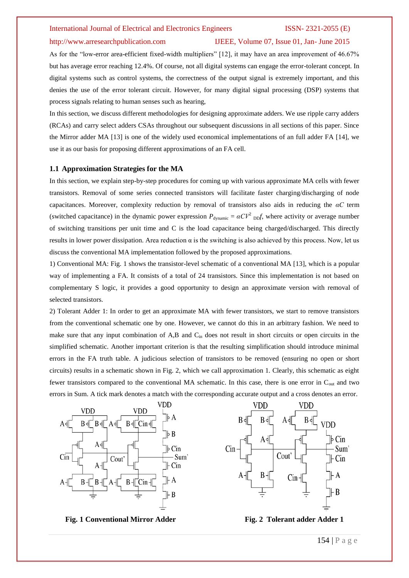### http://www.arresearchpublication.com IJEEE, Volume 07, Issue 01, Jan- June 2015

As for the "low-error area-efficient fixed-width multipliers" [12], it may have an area improvement of 46.67% but has average error reaching 12.4%. Of course, not all digital systems can engage the error-tolerant concept. In digital systems such as control systems, the correctness of the output signal is extremely important, and this denies the use of the error tolerant circuit. However, for many digital signal processing (DSP) systems that process signals relating to human senses such as hearing,

In this section, we discuss different methodologies for designing approximate adders. We use ripple carry adders (RCAs) and carry select adders CSAs throughout our subsequent discussions in all sections of this paper. Since the Mirror adder MA [13] is one of the widely used economical implementations of an full adder FA [14], we use it as our basis for proposing different approximations of an FA cell.

#### **1.1 Approximation Strategies for the MA**

In this section, we explain step-by-step procedures for coming up with various approximate MA cells with fewer transistors. Removal of some series connected transistors will facilitate faster charging/discharging of node capacitances. Moreover, complexity reduction by removal of transistors also aids in reducing the *αC* term (switched capacitance) in the dynamic power expression  $P_{\text{dynamic}} = \alpha C V^2_{\text{DD}} f$ , where activity or average number of switching transitions per unit time and C is the load capacitance being charged/discharged. This directly results in lower power dissipation. Area reduction α is the switching is also achieved by this process. Now, let us discuss the conventional MA implementation followed by the proposed approximations.

1) Conventional MA: Fig. 1 shows the transistor-level schematic of a conventional MA [13], which is a popular way of implementing a FA. It consists of a total of 24 transistors. Since this implementation is not based on complementary S logic, it provides a good opportunity to design an approximate version with removal of selected transistors.

2) Tolerant Adder 1: In order to get an approximate MA with fewer transistors, we start to remove transistors from the conventional schematic one by one. However, we cannot do this in an arbitrary fashion. We need to make sure that any input combination of A,B and C<sub>in</sub> does not result in short circuits or open circuits in the simplified schematic. Another important criterion is that the resulting simplification should introduce minimal errors in the FA truth table. A judicious selection of transistors to be removed (ensuring no open or short circuits) results in a schematic shown in Fig. 2, which we call approximation 1. Clearly, this schematic as eight fewer transistors compared to the conventional MA schematic. In this case, there is one error in C<sub>out</sub> and two errors in Sum. A tick mark denotes a match with the corresponding accurate output and a cross denotes an error.



**Fig. 1** Conventional Mirror Adder **Fig. 2 Tolerant adder Adder 1** 

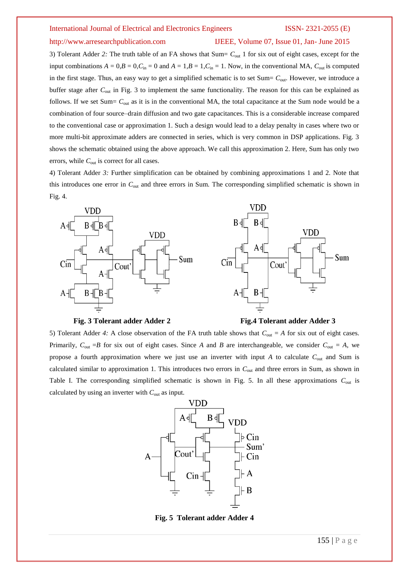### http://www.arresearchpublication.com IJEEE, Volume 07, Issue 01, Jan- June 2015

3) Tolerant Adder *2:* The truth table of an FA shows that Sum= *C*out 1 for six out of eight cases, except for the input combinations  $A = 0$ ,  $B = 0$ ,  $C_{\text{in}} = 0$  and  $A = 1$ ,  $B = 1$ ,  $C_{\text{in}} = 1$ . Now, in the conventional MA,  $C_{\text{out}}$  is computed in the first stage. Thus, an easy way to get a simplified schematic is to set Sum=  $C_{\text{out}}$ . However, we introduce a buffer stage after *C*out in Fig. 3 to implement the same functionality. The reason for this can be explained as follows. If we set Sum=  $C_{\text{out}}$  as it is in the conventional MA, the total capacitance at the Sum node would be a combination of four source–drain diffusion and two gate capacitances. This is a considerable increase compared to the conventional case or approximation 1. Such a design would lead to a delay penalty in cases where two or more multi-bit approximate adders are connected in series, which is very common in DSP applications. Fig. 3 shows the schematic obtained using the above approach. We call this approximation 2. Here, Sum has only two errors, while  $C_{\text{out}}$  is correct for all cases.

4) Tolerant Adder *3:* Further simplification can be obtained by combining approximations 1 and 2. Note that this introduces one error in *C*out and three errors in Sum. The corresponding simplified schematic is shown in Fig. 4.



#### **Fig. 3 Tolerant adder Adder 2 Fig.4 Tolerant adder Adder 3**

5) Tolerant Adder 4: A close observation of the FA truth table shows that  $C_{\text{out}} = A$  for six out of eight cases. Primarily,  $C_{\text{out}} = B$  for six out of eight cases. Since *A* and *B* are interchangeable, we consider  $C_{\text{out}} = A$ , we propose a fourth approximation where we just use an inverter with input *A* to calculate  $C_{\text{out}}$  and Sum is calculated similar to approximation 1. This introduces two errors in *C*out and three errors in Sum, as shown in Table I. The corresponding simplified schematic is shown in Fig. 5. In all these approximations *C*out is calculated by using an inverter with *C*out as input.



**Fig. 5 Tolerant adder Adder 4**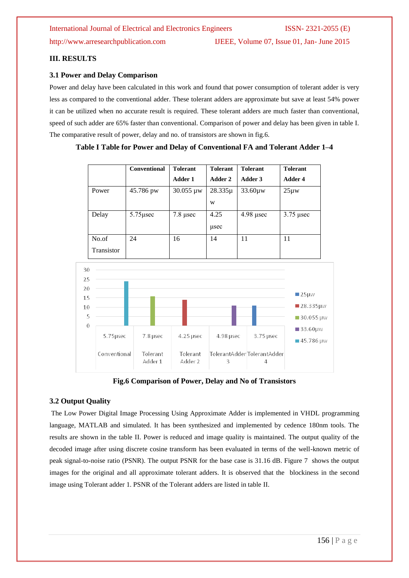http://www.arresearchpublication.com IJEEE, Volume 07, Issue 01, Jan- June 2015

### **III. RESULTS**

### **3.1 Power and Delay Comparison**

Power and delay have been calculated in this work and found that power consumption of tolerant adder is very less as compared to the conventional adder. These tolerant adders are approximate but save at least 54% power it can be utilized when no accurate result is required. These tolerant adders are much faster than conventional, speed of such adder are 65% faster than conventional. Comparison of power and delay has been given in table I. The comparative result of power, delay and no. of transistors are shown in fig.6.

|            | <b>Conventional</b> | <b>Tolerant</b> | <b>Tolerant</b> | <b>Tolerant</b> | <b>Tolerant</b> |
|------------|---------------------|-----------------|-----------------|-----------------|-----------------|
|            |                     | Adder 1         | Adder 2         | Adder 3         | Adder 4         |
| Power      | 45.786 pw           | 30.055 µw       | $28.335\mu$     | $33.60 \mu w$   | $25\mu w$       |
|            |                     |                 | W               |                 |                 |
| Delay      | $5.75$ usec         | $7.8 \mu$ sec   | 4.25            | $4.98$ usec     | $3.75$ µsec     |
|            |                     |                 | usec            |                 |                 |
| No.of      | 24                  | 16              | 14              | 11              | 11              |
| Transistor |                     |                 |                 |                 |                 |

### **Table I Table for Power and Delay of Conventional FA and Tolerant Adder 1–4**



**Fig.6 Comparison of Power, Delay and No of Transistors**

### **3.2 Output Quality**

The Low Power Digital Image Processing Using Approximate Adder is implemented in VHDL programming language, MATLAB and simulated. It has been synthesized and implemented by cedence 180nm tools. The results are shown in the table II. Power is reduced and image quality is maintained. The output quality of the decoded image after using discrete cosine transform has been evaluated in terms of the well-known metric of peak signal-to-noise ratio (PSNR). The output PSNR for the base case is 31.16 dB. Figure 7 shows the output images for the original and all approximate tolerant adders. It is observed that the blockiness in the second image using Tolerant adder 1. PSNR of the Tolerant adders are listed in table II.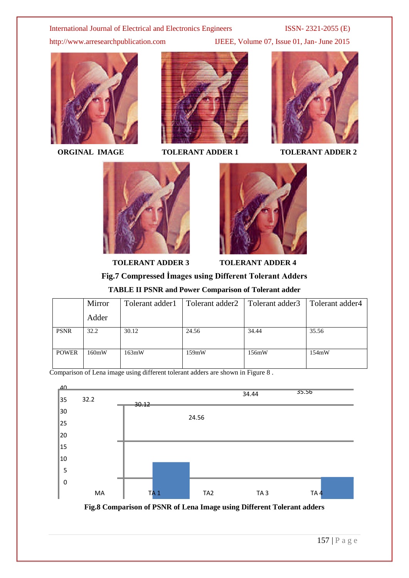http://www.arresearchpublication.com IJEEE, Volume 07, Issue 01, Jan- June 2015





**ORGINAL IMAGE TOLERANT ADDER 1 TOLERANT ADDER 2** 







**TOLERANT ADDER 3 TOLERANT ADDER 4**

## **Fig.7 Compressed İmages using Different Tolerant Adders**

**TABLE II PSNR and Power Comparison of Tolerant adder**

|              | Mirror | Tolerant adder1 | Tolerant adder2 | Tolerant adder3 | Tolerant adder4 |
|--------------|--------|-----------------|-----------------|-----------------|-----------------|
|              | Adder  |                 |                 |                 |                 |
| <b>PSNR</b>  | 32.2   | 30.12           | 24.56           | 34.44           | 35.56           |
| <b>POWER</b> | 160mW  | 163mW           | 159mW           | 156mW           | 154mW           |

Comparison of Lena image using different tolerant adders are shown in Figure 8 .



**Fig.8 Comparison of PSNR of Lena Image using Different Tolerant adders**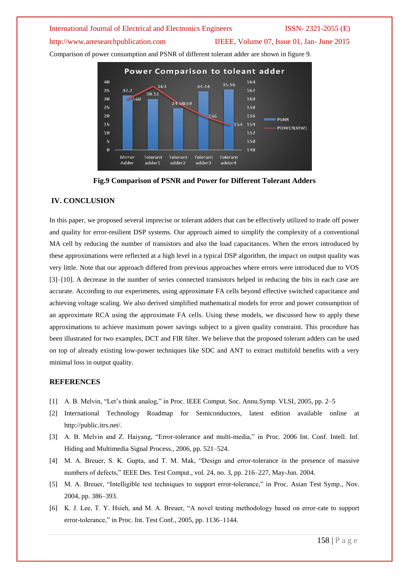### http://www.arresearchpublication.com IJEEE, Volume 07, Issue 01, Jan-June 2015

Comparison of power consumption and PSNR of different tolerant adder are shown in figure 9.





### **IV. CONCLUSION**

In this paper, we proposed several imprecise or tolerant adders that can be effectively utilized to trade off power and quality for error-resilient DSP systems. Our approach aimed to simplify the complexity of a conventional MA cell by reducing the number of transistors and also the load capacitances. When the errors introduced by these approximations were reflected at a high level in a typical DSP algorithm, the impact on output quality was very little. Note that our approach differed from previous approaches where errors were introduced due to VOS [3]–[10]. A decrease in the number of series connected transistors helped in reducing the bits in each case are accurate. According to our experiments, using approximate FA cells beyond effective switched capacitance and achieving voltage scaling. We also derived simplified mathematical models for error and power consumption of an approximate RCA using the approximate FA cells. Using these models, we discussed how to apply these approximations to achieve maximum power savings subject to a given quality constraint. This procedure has been illustrated for two examples, DCT and FIR filter. We believe that the proposed tolerant adders can be used on top of already existing low-power techniques like SDC and ANT to extract multifold benefits with a very minimal loss in output quality.

### **REFERENCES**

- [1] A. B. Melvin, "Let's think analog," in Proc. IEEE Comput. Soc. Annu.Symp. VLSI, 2005, pp. 2–5
- [2] International Technology Roadmap for Semiconductors, latest edition available online at http://public.itrs.net/.
- [3] A. B. Melvin and Z. Haiyang, "Error-tolerance and multi-media," in Proc. 2006 Int. Conf. Intell. Inf. Hiding and Multimedia Signal Process., 2006, pp. 521–524.
- [4] M. A. Breuer, S. K. Gupta, and T. M. Mak, "Design and error-tolerance in the presence of massive numbers of defects," IEEE Des. Test Comput., vol. 24, no. 3, pp. 216–227, May-Jun. 2004.
- [5] M. A. Breuer, "Intelligible test techniques to support error-tolerance," in Proc. Asian Test Symp., Nov. 2004, pp. 386–393.
- [6] K. J. Lee, T. Y. Hsieh, and M. A. Breuer, "A novel testing methodology based on error-rate to support error-tolerance," in Proc. Int. Test Conf., 2005, pp. 1136–1144.